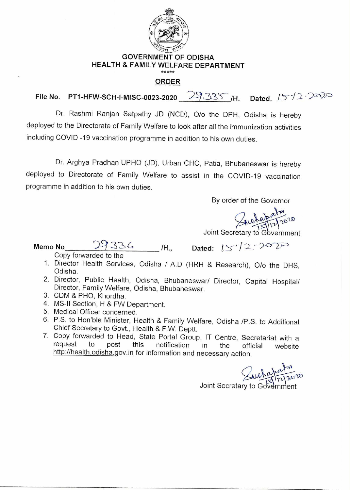

## **GOVERNMENT OF ODISHA HEALTH & FAMILY WELFARE DEPARTMENT**

## **ORDER**

**File No. PT1-HFW-SCH-I-MISC-0023-2020** 29335 /H. Dated.  $15\sqrt{2}$   $\sqrt{20}$ 

Dr. Rashmi Ranjan Satpathy JD (NCD), 0/o the DPH, Odisha is hereby deployed to the Directorate of Family Welfare to look after all the immunization activities including COVID -19 vaccination programme in addition to his own duties.

Dr. Arghya Pradhan UPHO (JD), Urban CHC, Patia, Bhubaneswar is hereby deployed to Directorate of Family Welfare to assist in the COVID-19 vaccination programme in addition to his own duties.

By order of the Governor

wetapate 20

Joint Secretary to Government

**Memo No 29336** H., Dated:  $15^{7}/27070$ 

Copy forwarded to the

- 1. Director Health Services, Odisha / A.D (HRH & Research), 0/o the DHS, Odisha
- 2. Director, Public Health, Odisha, Bhubaneswar/ Director, Capital Hospital/ Director, Family Welfare, Odisha, Bhubaneswar.
- 3. CDM & PHO, Khordha.
- 4. MS-II Section, H & FW Department.
- 5. Medical Officer concerned.
- 6. P.S. to Hon'ble Minister, Health & Family Welfare, Odisha /P.S. to Additional Chief Secretary to Govt., Health & F.W. Deptt.
- 7. Copy forwarded to Head, State Portal Group, IT Centre, Secretariat with a request to post this notification in the official website request to post this notification in the official website http://health.odisha.gov.in for information and necessary action.

 $u_0$   $v_0$   $v_0$   $v_0$ 

Joint Secretary to Government